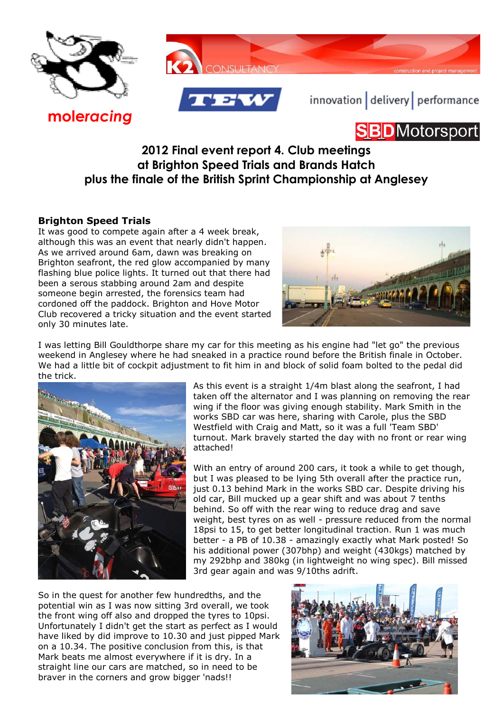

**mole***racing*





innovation delivery performance

## **SBD**Motorsport

## **2012 Final event report 4. Club meetings at Brighton Speed Trials and Brands Hatch plus the finale of the British Sprint Championship at Anglesey**

## **Brighton Speed Trials**

It was good to compete again after a 4 week break, although this was an event that nearly didn't happen. As we arrived around 6am, dawn was breaking on Brighton seafront, the red glow accompanied by many flashing blue police lights. It turned out that there had been a serous stabbing around 2am and despite someone begin arrested, the forensics team had cordoned off the paddock. Brighton and Hove Motor Club recovered a tricky situation and the event started only 30 minutes late.



I was letting Bill Gouldthorpe share my car for this meeting as his engine had "let go" the previous weekend in Anglesey where he had sneaked in a practice round before the British finale in October. We had a little bit of cockpit adjustment to fit him in and block of solid foam bolted to the pedal did the trick.



As this event is a straight 1/4m blast along the seafront, I had taken off the alternator and I was planning on removing the rear wing if the floor was giving enough stability. Mark Smith in the works SBD car was here, sharing with Carole, plus the SBD Westfield with Craig and Matt, so it was a full 'Team SBD' turnout. Mark bravely started the day with no front or rear wing attached!

With an entry of around 200 cars, it took a while to get though, but I was pleased to be lying 5th overall after the practice run, just 0.13 behind Mark in the works SBD car. Despite driving his old car, Bill mucked up a gear shift and was about 7 tenths behind. So off with the rear wing to reduce drag and save weight, best tyres on as well - pressure reduced from the normal 18psi to 15, to get better longitudinal traction. Run 1 was much better - a PB of 10.38 - amazingly exactly what Mark posted! So his additional power (307bhp) and weight (430kgs) matched by my 292bhp and 380kg (in lightweight no wing spec). Bill missed 3rd gear again and was 9/10ths adrift.

So in the quest for another few hundredths, and the potential win as I was now sitting 3rd overall, we took the front wing off also and dropped the tyres to 10psi. Unfortunately I didn't get the start as perfect as I would have liked by did improve to 10.30 and just pipped Mark on a 10.34. The positive conclusion from this, is that Mark beats me almost everywhere if it is dry. In a straight line our cars are matched, so in need to be braver in the corners and grow bigger 'nads!!

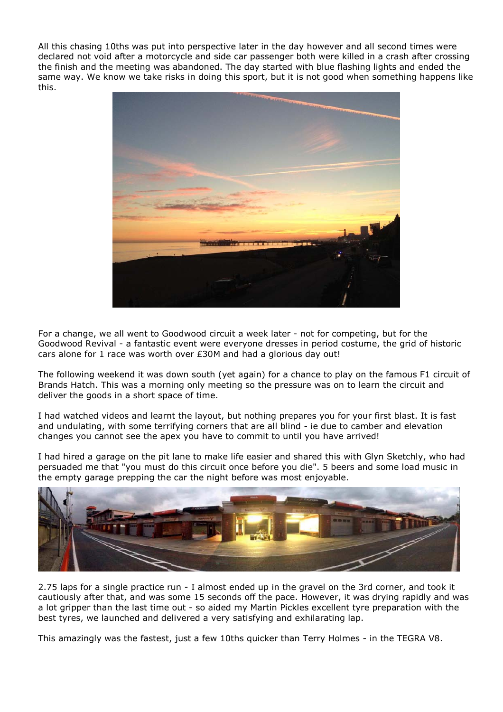All this chasing 10ths was put into perspective later in the day however and all second times were declared not void after a motorcycle and side car passenger both were killed in a crash after crossing the finish and the meeting was abandoned. The day started with blue flashing lights and ended the same way. We know we take risks in doing this sport, but it is not good when something happens like this.



For a change, we all went to Goodwood circuit a week later - not for competing, but for the Goodwood Revival - a fantastic event were everyone dresses in period costume, the grid of historic cars alone for 1 race was worth over £30M and had a glorious day out!

The following weekend it was down south (yet again) for a chance to play on the famous F1 circuit of Brands Hatch. This was a morning only meeting so the pressure was on to learn the circuit and deliver the goods in a short space of time.

I had watched videos and learnt the layout, but nothing prepares you for your first blast. It is fast and undulating, with some terrifying corners that are all blind - ie due to camber and elevation changes you cannot see the apex you have to commit to until you have arrived!

I had hired a garage on the pit lane to make life easier and shared this with Glyn Sketchly, who had persuaded me that "you must do this circuit once before you die". 5 beers and some load music in the empty garage prepping the car the night before was most enjoyable.



2.75 laps for a single practice run - I almost ended up in the gravel on the 3rd corner, and took it cautiously after that, and was some 15 seconds off the pace. However, it was drying rapidly and was a lot gripper than the last time out - so aided my Martin Pickles excellent tyre preparation with the best tyres, we launched and delivered a very satisfying and exhilarating lap.

This amazingly was the fastest, just a few 10ths quicker than Terry Holmes - in the TEGRA V8.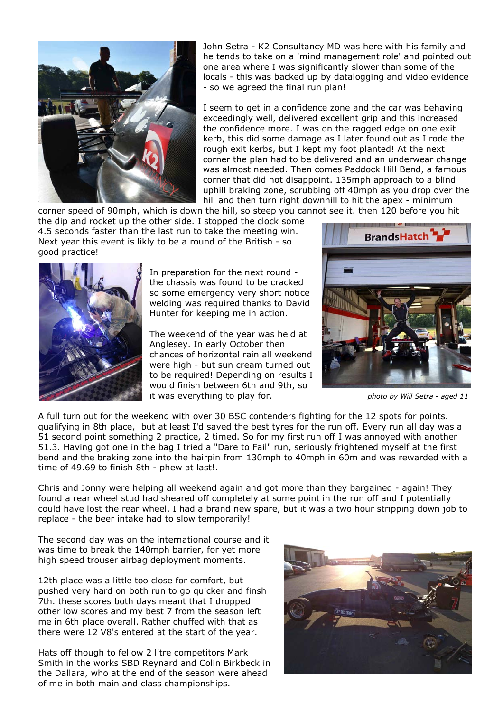

John Setra - K2 Consultancy MD was here with his family and he tends to take on a 'mind management role' and pointed out one area where I was significantly slower than some of the locals - this was backed up by datalogging and video evidence - so we agreed the final run plan!

I seem to get in a confidence zone and the car was behaving exceedingly well, delivered excellent grip and this increased the confidence more. I was on the ragged edge on one exit kerb, this did some damage as I later found out as I rode the rough exit kerbs, but I kept my foot planted! At the next corner the plan had to be delivered and an underwear change was almost needed. Then comes Paddock Hill Bend, a famous corner that did not disappoint. 135mph approach to a blind uphill braking zone, scrubbing off 40mph as you drop over the hill and then turn right downhill to hit the apex - minimum

corner speed of 90mph, which is down the hill, so steep you cannot see it. then 120 before you hit the dip and rocket up the other side. I stopped the clock some 4.5 seconds faster than the last run to take the meeting win. Next year this event is likly to be a round of the British - so good practice!



In preparation for the next round the chassis was found to be cracked so some emergency very short notice welding was required thanks to David Hunter for keeping me in action.

The weekend of the year was held at Anglesey. In early October then chances of horizontal rain all weekend were high - but sun cream turned out to be required! Depending on results I would finish between 6th and 9th, so it was everything to play for. *photo by Will Setra - aged 11*



A full turn out for the weekend with over 30 BSC contenders fighting for the 12 spots for points. qualifying in 8th place, but at least I'd saved the best tyres for the run off. Every run all day was a 51 second point something 2 practice, 2 timed. So for my first run off I was annoyed with another 51.3. Having got one in the bag I tried a "Dare to Fail" run, seriously frightened myself at the first bend and the braking zone into the hairpin from 130mph to 40mph in 60m and was rewarded with a time of 49.69 to finish 8th - phew at last!.

Chris and Jonny were helping all weekend again and got more than they bargained - again! They found a rear wheel stud had sheared off completely at some point in the run off and I potentially could have lost the rear wheel. I had a brand new spare, but it was a two hour stripping down job to replace - the beer intake had to slow temporarily!

The second day was on the international course and it was time to break the 140mph barrier, for yet more high speed trouser airbag deployment moments.

12th place was a little too close for comfort, but pushed very hard on both run to go quicker and finsh 7th. these scores both days meant that I dropped other low scores and my best 7 from the season left me in 6th place overall. Rather chuffed with that as there were 12 V8's entered at the start of the year.

Hats off though to fellow 2 litre competitors Mark Smith in the works SBD Reynard and Colin Birkbeck in the Dallara, who at the end of the season were ahead of me in both main and class championships.